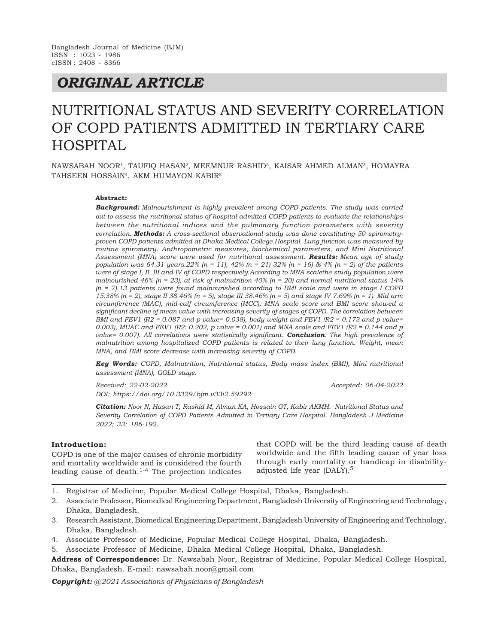# *ORIGINAL ARTICLE*

# NUTRITIONAL STATUS AND SEVERITY CORRELATION OF COPD PATIENTS ADMITTED IN TERTIARY CARE HOSPITAL

NAWSABAH NOOR<sup>1</sup>, TAUFIQ HASAN<sup>2</sup>, MEEMNUR RASHID<sup>3</sup>, KAISAR AHMED ALMAN<sup>3</sup>, HOMAYRA TAHSEEN HOSSAIN<sup>4</sup> , AKM HUMAYON KABIR<sup>5</sup>

#### **Abstract:**

*Background: Malnourishment is highly prevalent among COPD patients. The study was carried out to assess the nutritional status of hospital admitted COPD patients to evaluate the relationships between the nutritional indices and the pulmonary function parameters with severity correlation. Methods: A cross-sectional observational study was done constituting 50 spirometryproven COPD patients admitted at Dhaka Medical College Hospital. Lung function was measured by routine spirometry. Anthropometric measures, biochemical parameters, and Mini Nutritional Assessment (MNA) score were used for nutritional assessment. Results: Mean age of study population was 64.31 years.22% (n = 11), 42% (n = 21) 32% (n = 16) & 4% (n = 2) of the patients were of stage I, II, III and IV of COPD respectively.According to MNA scalethe study population were malnourished 46% (n = 23), at risk of malnutrition 40% (n = 20) and normal nutritional status 14% (n = 7).13 patients were found malnourished according to BMI scale and were in stage I COPD 15.38% (n = 2), stage II 38.46% (n = 5), stage III 38.46% (n = 5) and stage IV 7.69% (n = 1). Mid arm circumference (MAC), mid-calf circumference (MCC), MNA scale score and BMI score showed a significant decline of mean value with increasing severity of stages of COPD. The correlation between BMI and FEV1 (R2 = 0.087 and p value= 0.038), body weight and FEV1 (R2 = 0.173 and p value= 0.003), MUAC and FEV1 (R2: 0.202, p value = 0.001) and MNA scale and FEV1 (R2 = 0.144 and p value= 0.007). All correlations were statistically significant. Conclusion: The high prevalence of malnutrition among hospitalized COPD patients is related to their lung function. Weight, mean MNA, and BMI score decrease with increasing severity of COPD.*

*Key Words: COPD, Malnutrition, Nutritional status, Body mass index (BMI), Mini nutritional assessment (MNA), GOLD stage.*

*Received: 22-02-2022 Accepted: 06-04-2022 DOI: https://doi.org/10.3329/bjm.v33i2.59292*

*Citation: Noor N, Hasan T, Rashid M, Alman KA, Hossain GT, Kabir AKMH. Nutritional Status and Severity Correlation of COPD Patients Admitted in Tertiary Care Hospital. Bangladesh J Medicine 2022; 33: 186-192.*

#### **Introduction:**

COPD is one of the major causes of chronic morbidity and mortality worldwide and is considered the fourth leading cause of death. $1-4$  The projection indicates that COPD will be the third leading cause of death worldwide and the fifth leading cause of year loss through early mortality or handicap in disabilityadjusted life year (DALY).<sup>5</sup>

- 1. Registrar of Medicine, Popular Medical College Hospital, Dhaka, Bangladesh.
- 2. Associate Professor, Biomedical Engineering Department, Bangladesh University of Engineering and Technology, Dhaka, Bangladesh.
- 3. Research Assistant, Biomedical Engineering Department, Bangladesh University of Engineering and Technology, Dhaka, Bangladesh.
- 4. Associate Professor of Medicine, Popular Medical College Hospital, Dhaka, Bangladesh.
- 5. Associate Professor of Medicine, Dhaka Medical College Hospital, Dhaka, Bangladesh.

**Address of Correspondence:** Dr. Nawsabah Noor, Registrar of Medicine, Popular Medical College Hospital, Dhaka, Bangladesh. E-mail: nawsabah.noor@gmail.com

*Copyright: @ 2021 Associations of Physicians of Bangladesh*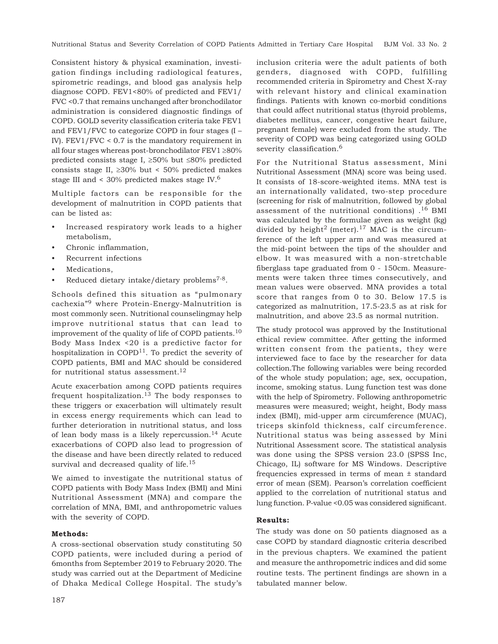Nutritional Status and Severity Correlation of COPD Patients Admitted in Tertiary Care Hospital BJM Vol. 33 No. 2

Consistent history & physical examination, investigation findings including radiological features, spirometric readings, and blood gas analysis help diagnose COPD. FEV1<80% of predicted and FEV1/ FVC <0.7 that remains unchanged after bronchodilator administration is considered diagnostic findings of COPD. GOLD severity classification criteria take FEV1 and FEV1/FVC to categorize COPD in four stages (I – IV). FEV1/FVC < 0.7 is the mandatory requirement in all four stages whereas post-bronchodilator FEV1  ${\geq}80\%$ predicted consists stage I,  $\geq 50\%$  but  $\leq 80\%$  predicted consists stage II,  $\geq 30\%$  but < 50% predicted makes stage III and < 30% predicted makes stage IV.<sup>6</sup>

Multiple factors can be responsible for the development of malnutrition in COPD patients that can be listed as:

- Increased respiratory work leads to a higher metabolism,
- Chronic inflammation,
- Recurrent infections
- Medications,
- Reduced dietary intake/dietary problems<sup>7-8</sup>.

Schools defined this situation as "pulmonary cachexia"9 where Protein-Energy-Malnutrition is most commonly seen. Nutritional counselingmay help improve nutritional status that can lead to improvement of the quality of life of COPD patients.<sup>10</sup> Body Mass Index <20 is a predictive factor for hospitalization in  $\text{COPD}^{11}$ . To predict the severity of COPD patients, BMI and MAC should be considered for nutritional status assessment.<sup>12</sup>

Acute exacerbation among COPD patients requires frequent hospitalization.<sup>13</sup> The body responses to these triggers or exacerbation will ultimately result in excess energy requirements which can lead to further deterioration in nutritional status, and loss of lean body mass is a likely repercussion.<sup>14</sup> Acute exacerbations of COPD also lead to progression of the disease and have been directly related to reduced survival and decreased quality of life.<sup>15</sup>

We aimed to investigate the nutritional status of COPD patients with Body Mass Index (BMI) and Mini Nutritional Assessment (MNA) and compare the correlation of MNA, BMI, and anthropometric values with the severity of COPD.

## **Methods:**

A cross-sectional observation study constituting 50 COPD patients, were included during a period of 6months from September 2019 to February 2020. The study was carried out at the Department of Medicine of Dhaka Medical College Hospital. The study's

inclusion criteria were the adult patients of both genders, diagnosed with COPD, fulfilling recommended criteria in Spirometry and Chest X-ray with relevant history and clinical examination findings. Patients with known co-morbid conditions that could affect nutritional status (thyroid problems, diabetes mellitus, cancer, congestive heart failure, pregnant female) were excluded from the study. The severity of COPD was being categorized using GOLD severity classification.<sup>6</sup>

For the Nutritional Status assessment, Mini Nutritional Assessment (MNA) score was being used. It consists of 18-score-weighted items. MNA test is an internationally validated, two-step procedure (screening for risk of malnutrition, followed by global assessment of the nutritional conditions) .16 BMI was calculated by the formulae given as weight (kg) divided by height<sup>2</sup> (meter).<sup>17</sup> MAC is the circumference of the left upper arm and was measured at the mid-point between the tips of the shoulder and elbow. It was measured with a non-stretchable fiberglass tape graduated from 0 - 150cm. Measurements were taken three times consecutively, and mean values were observed. MNA provides a total score that ranges from 0 to 30. Below 17.5 is categorized as malnutrition, 17.5-23.5 as at risk for malnutrition, and above 23.5 as normal nutrition.

The study protocol was approved by the Institutional ethical review committee. After getting the informed written consent from the patients, they were interviewed face to face by the researcher for data collection.The following variables were being recorded of the whole study population; age, sex, occupation, income, smoking status. Lung function test was done with the help of Spirometry. Following anthropometric measures were measured; weight, height, Body mass index (BMI), mid-upper arm circumference (MUAC), triceps skinfold thickness, calf circumference. Nutritional status was being assessed by Mini Nutritional Assessment score. The statistical analysis was done using the SPSS version 23.0 (SPSS Inc, Chicago, IL) software for MS Windows. Descriptive frequencies expressed in terms of mean ± standard error of mean (SEM). Pearson's correlation coefficient applied to the correlation of nutritional status and lung function. P-value <0.05 was considered significant.

## **Results:**

The study was done on 50 patients diagnosed as a case COPD by standard diagnostic criteria described in the previous chapters. We examined the patient and measure the anthropometric indices and did some routine tests. The pertinent findings are shown in a tabulated manner below.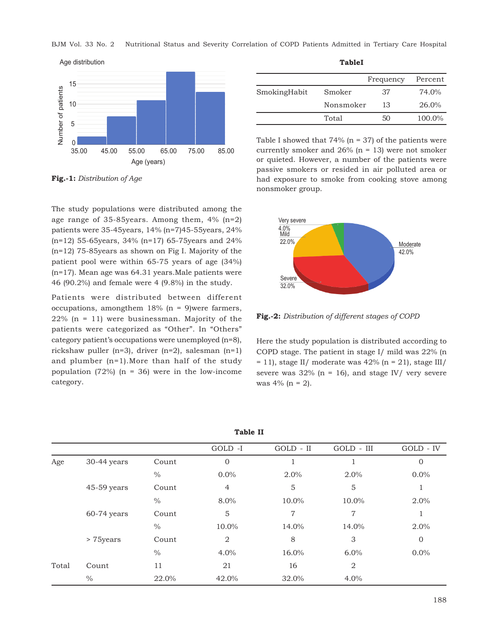BJM Vol. 33 No. 2 Nutritional Status and Severity Correlation of COPD Patients Admitted in Tertiary Care Hospital



**Fig.-1:** *Distribution of Age*

The study populations were distributed among the age range of 35-85years. Among them, 4% (n=2) patients were 35-45years, 14% (n=7)45-55years, 24% (n=12) 55-65years, 34% (n=17) 65-75years and 24% (n=12) 75-85years as shown on Fig I. Majority of the patient pool were within 65-75 years of age (34%) (n=17). Mean age was 64.31 years.Male patients were 46 (90.2%) and female were 4 (9.8%) in the study.

Patients were distributed between different occupations, amongthem  $18\%$  (n = 9)were farmers,  $22\%$  (n = 11) were businessman. Majority of the patients were categorized as "Other". In "Others" category patient's occupations were unemployed (n=8), rickshaw puller (n=3), driver (n=2), salesman (n=1) and plumber (n=1).More than half of the study population (72%) ( $n = 36$ ) were in the low-income category.

|              |           | Frequency | Percent |
|--------------|-----------|-----------|---------|
| SmokingHabit | Smoker    | 37        | 74.0%   |
|              | Nonsmoker | 13        | 26.0%   |
|              | Total     | 50        | 100.0%  |

**TableI**

Table I showed that  $74\%$  (n = 37) of the patients were currently smoker and  $26\%$  (n = 13) were not smoker or quieted. However, a number of the patients were passive smokers or resided in air polluted area or had exposure to smoke from cooking stove among nonsmoker group.



**Fig.-2:** *Distribution of different stages of COPD*

Here the study population is distributed according to COPD stage. The patient in stage I/ mild was 22% (n  $= 11$ ), stage II/ moderate was 42% (n = 21), stage III/ severe was  $32\%$  (n = 16), and stage IV/ very severe was  $4\%$  (n = 2).

| - ~~~~ --         |               |               |                |             |                |                |
|-------------------|---------------|---------------|----------------|-------------|----------------|----------------|
|                   |               |               | GOLD -I        | $GOLD - II$ | GOLD - III     | GOLD - IV      |
| Age<br>> 75 years | 30-44 years   | Count         | $\overline{0}$ |             |                | $\overline{0}$ |
|                   |               | $\frac{0}{0}$ | 0.0%           | 2.0%        | 2.0%           | $0.0\%$        |
|                   | $45-59$ years | Count         | 4              | 5           | 5              |                |
|                   |               | $\%$          | 8.0%           | 10.0%       | 10.0%          | 2.0%           |
|                   | $60-74$ years | Count         | 5              | 7           | 7              |                |
|                   |               | $\%$          | 10.0%          | 14.0%       | 14.0%          | $2.0\%$        |
|                   |               | Count         | $\overline{2}$ | 8           | 3              | $\overline{0}$ |
|                   |               | $\%$          | 4.0%           | 16.0%       | 6.0%           | 0.0%           |
| Total             | Count         | 11            | 21             | 16          | $\overline{2}$ |                |
|                   | $\frac{0}{0}$ | 22.0%         | 42.0%          | 32.0%       | 4.0%           |                |

| . .<br>۰,<br>×<br>۰. |  |
|----------------------|--|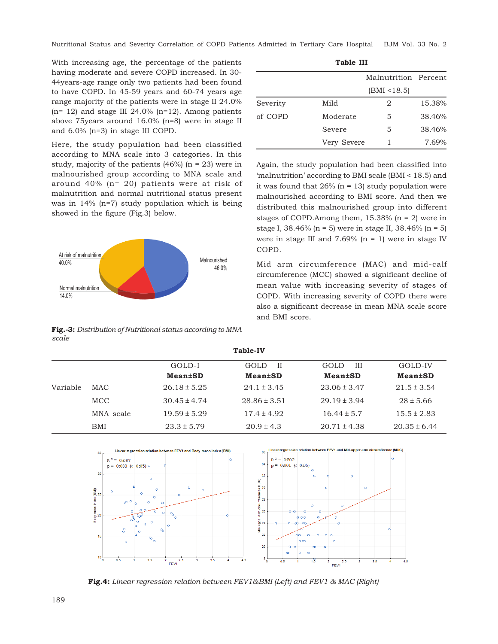Nutritional Status and Severity Correlation of COPD Patients Admitted in Tertiary Care Hospital BJM Vol. 33 No. 2

With increasing age, the percentage of the patients having moderate and severe COPD increased. In 30- 44years-age range only two patients had been found to have COPD. In 45-59 years and 60-74 years age range majority of the patients were in stage II 24.0%  $(n= 12)$  and stage III 24.0%  $(n=12)$ . Among patients above 75years around 16.0% (n=8) were in stage II and 6.0% (n=3) in stage III COPD.

Here, the study population had been classified according to MNA scale into 3 categories. In this study, majority of the patients  $(46%)$  (n = 23) were in malnourished group according to MNA scale and around 40% (n= 20) patients were at risk of malnutrition and normal nutritional status present was in 14% (n=7) study population which is being showed in the figure (Fig.3) below.



**Fig.-3:** *Distribution of Nutritional status according to MNA scale*

|          |             | Malnutrition Percent |        |
|----------|-------------|----------------------|--------|
|          |             | (BMI < 18.5)         |        |
| Severity | Mild        | 2                    | 15.38% |
| of COPD  | Moderate    | 5                    | 38.46% |
|          | Severe      | 5                    | 38.46% |
|          | Very Severe |                      | 7.69%  |

**Table III**

Again, the study population had been classified into 'malnutrition' according to BMI scale (BMI < 18.5) and it was found that  $26\%$  (n = 13) study population were malnourished according to BMI score. And then we distributed this malnourished group into different stages of COPD.Among them,  $15.38\%$  (n = 2) were in stage I, 38.46% (n = 5) were in stage II, 38.46% (n = 5) were in stage III and  $7.69\%$  (n = 1) were in stage IV COPD.

Mid arm circumference (MAC) and mid-calf circumference (MCC) showed a significant decline of mean value with increasing severity of stages of COPD. With increasing severity of COPD there were also a significant decrease in mean MNA scale score and BMI score.

|          |            |                  | <b>Table-IV</b>             |                             |                             |
|----------|------------|------------------|-----------------------------|-----------------------------|-----------------------------|
|          |            | GOLD-I           | $GOLD - II$                 | $GOLD - III$                | GOLD-IV                     |
|          |            | <b>Mean±SD</b>   | <b>Mean</b> <sup>t</sup> SD | <b>Mean</b> <sup>t</sup> SD | <b>Mean</b> <sup>t</sup> SD |
| Variable | MAC        | $26.18 \pm 5.25$ | $24.1 \pm 3.45$             | $23.06 \pm 3.47$            | $21.5 \pm 3.54$             |
|          | MCC        | $30.45 \pm 4.74$ | $28.86 \pm 3.51$            | $29.19 \pm 3.94$            | $28 \pm 5.66$               |
|          | MNA scale  | $19.59 \pm 5.29$ | $17.4 \pm 4.92$             | $16.44 \pm 5.7$             | $15.5 \pm 2.83$             |
|          | <b>BMI</b> | $23.3 \pm 5.79$  | $20.9 \pm 4.3$              | $20.71 \pm 4.38$            | $20.35 \pm 6.44$            |



**Fig.4:** *Linear regression relation between FEV1&BMI (Left) and FEV1 & MAC (Right)*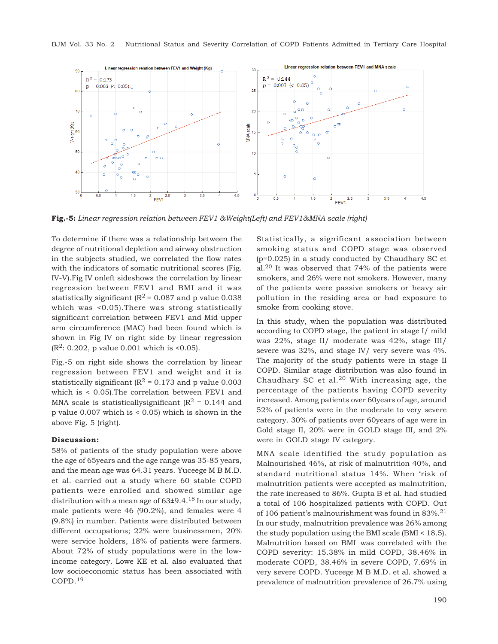

**Fig.-5:** *Linear regression relation between FEV1 &Weight(Left) and FEV1&MNA scale (right)*

To determine if there was a relationship between the degree of nutritional depletion and airway obstruction in the subjects studied, we correlated the flow rates with the indicators of somatic nutritional scores (Fig. IV-V).Fig IV onleft sideshows the correlation by linear regression between FEV1 and BMI and it was statistically significant ( $\mathbb{R}^2$  = 0.087 and p value 0.038 which was <0.05).There was strong statistically significant correlation between FEV1 and Mid upper arm circumference (MAC) had been found which is shown in Fig IV on right side by linear regression  $(R<sup>2</sup>: 0.202, p$  value 0.001 which is <0.05).

Fig.-5 on right side shows the correlation by linear regression between FEV1 and weight and it is statistically significant ( $\mathbb{R}^2$  = 0.173 and p value 0.003 which is < 0.05).The correlation between FEV1 and MNA scale is statistically significant ( $\mathbb{R}^2$  = 0.144 and p value 0.007 which is < 0.05) which is shown in the above Fig. 5 (right).

#### **Discussion:**

58% of patients of the study population were above the age of 65years and the age range was 35-85 years, and the mean age was 64.31 years. Yuceege M B M.D. et al. carried out a study where 60 stable COPD patients were enrolled and showed similar age distribution with a mean age of  $63\pm9.4$ .<sup>18</sup> In our study, male patients were 46 (90.2%), and females were 4 (9.8%) in number. Patients were distributed between different occupations; 22% were businessmen, 20% were service holders, 18% of patients were farmers. About 72% of study populations were in the lowincome category. Lowe KE et al. also evaluated that low socioeconomic status has been associated with COPD.<sup>19</sup>

Statistically, a significant association between smoking status and COPD stage was observed (p=0.025) in a study conducted by Chaudhary SC et al.20 It was observed that 74% of the patients were smokers, and 26% were not smokers. However, many of the patients were passive smokers or heavy air pollution in the residing area or had exposure to smoke from cooking stove.

In this study, when the population was distributed according to COPD stage, the patient in stage I/ mild was 22%, stage II/ moderate was 42%, stage III/ severe was 32%, and stage IV/ very severe was 4%. The majority of the study patients were in stage II COPD. Similar stage distribution was also found in Chaudhary SC et al.<sup>20</sup> With increasing age, the percentage of the patients having COPD severity increased. Among patients over 60years of age, around 52% of patients were in the moderate to very severe category. 30% of patients over 60years of age were in Gold stage II, 20% were in GOLD stage III, and 2% were in GOLD stage IV category.

MNA scale identified the study population as Malnourished 46%, at risk of malnutrition 40%, and standard nutritional status 14%. When 'risk of malnutrition patients were accepted as malnutrition, the rate increased to 86%. Gupta B et al. had studied a total of 106 hospitalized patients with COPD. Out of 106 patient's malnourishment was found in 83%.<sup>21</sup> In our study, malnutrition prevalence was 26% among the study population using the BMI scale (BMI < 18.5). Malnutrition based on BMI was correlated with the COPD severity: 15.38% in mild COPD, 38.46% in moderate COPD, 38.46% in severe COPD, 7.69% in very severe COPD. Yuceege M B M.D. et al. showed a prevalence of malnutrition prevalence of 26.7% using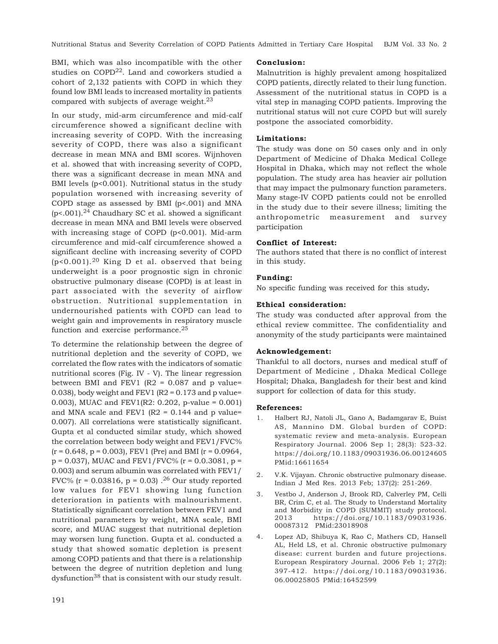Nutritional Status and Severity Correlation of COPD Patients Admitted in Tertiary Care Hospital BJM Vol. 33 No. 2

BMI, which was also incompatible with the other studies on COPD<sup>22</sup>. Land and coworkers studied a cohort of 2,132 patients with COPD in which they found low BMI leads to increased mortality in patients compared with subjects of average weight. $23$ 

In our study, mid-arm circumference and mid-calf circumference showed a significant decline with increasing severity of COPD. With the increasing severity of COPD, there was also a significant decrease in mean MNA and BMI scores. Wijnhoven et al. showed that with increasing severity of COPD, there was a significant decrease in mean MNA and BMI levels (p<0.001). Nutritional status in the study population worsened with increasing severity of COPD stage as assessed by BMI (p<.001) and MNA  $(p<.001)$ <sup>24</sup> Chaudhary SC et al. showed a significant decrease in mean MNA and BMI levels were observed with increasing stage of COPD (p<0.001). Mid-arm circumference and mid-calf circumference showed a significant decline with increasing severity of COPD  $(p<0.001)$ .<sup>20</sup> King D et al. observed that being underweight is a poor prognostic sign in chronic obstructive pulmonary disease (COPD) is at least in part associated with the severity of airflow obstruction. Nutritional supplementation in undernourished patients with COPD can lead to weight gain and improvements in respiratory muscle function and exercise performance.<sup>25</sup>

To determine the relationship between the degree of nutritional depletion and the severity of COPD, we correlated the flow rates with the indicators of somatic nutritional scores (Fig. IV - V). The linear regression between BMI and FEV1 ( $R2 = 0.087$  and p value= 0.038), body weight and FEV1 ( $R2 = 0.173$  and p value= 0.003), MUAC and FEV1(R2: 0.202, p-value = 0.001) and MNA scale and FEV1 (R2 =  $0.144$  and p value= 0.007). All correlations were statistically significant. Gupta et al conducted similar study, which showed the correlation between body weight and FEV1/FVC%  $(r = 0.648, p = 0.003)$ , FEV1 (Pre) and BMI ( $r = 0.0964$ ,  $p = 0.037$ , MUAC and FEV1/FVC% ( $r = 0.03081$ ,  $p =$ 0.003) and serum albumin was correlated with FEV1/ FVC% ( $r = 0.03816$ ,  $p = 0.03$ ).<sup>26</sup> Our study reported low values for FEV1 showing lung function deterioration in patients with malnourishment. Statistically significant correlation between FEV1 and nutritional parameters by weight, MNA scale, BMI score, and MUAC suggest that nutritional depletion may worsen lung function. Gupta et al. conducted a study that showed somatic depletion is present among COPD patients and that there is a relationship between the degree of nutrition depletion and lung dysfunction<sup>38</sup> that is consistent with our study result.

#### **Conclusion:**

Malnutrition is highly prevalent among hospitalized COPD patients, directly related to their lung function. Assessment of the nutritional status in COPD is a vital step in managing COPD patients. Improving the nutritional status will not cure COPD but will surely postpone the associated comorbidity.

#### **Limitations:**

The study was done on 50 cases only and in only Department of Medicine of Dhaka Medical College Hospital in Dhaka, which may not reflect the whole population. The study area has heavier air pollution that may impact the pulmonary function parameters. Many stage-IV COPD patients could not be enrolled in the study due to their severe illness; limiting the anthropometric measurement and survey participation

#### **Conflict of Interest:**

The authors stated that there is no conflict of interest in this study.

## **Funding:**

No specific funding was received for this study**.**

#### **Ethical consideration:**

The study was conducted after approval from the ethical review committee. The confidentiality and anonymity of the study participants were maintained

## **Acknowledgement:**

Thankful to all doctors, nurses and medical stuff of Department of Medicine , Dhaka Medical College Hospital; Dhaka, Bangladesh for their best and kind support for collection of data for this study.

#### **References:**

- 1. Halbert RJ, Natoli JL, Gano A, Badamgarav E, Buist AS, Mannino DM. Global burden of COPD: systematic review and meta-analysis. European Respiratory Journal. 2006 Sep 1; 28(3): 523-32. https://doi.org/10.1183/09031936.06.00124605 PMid:16611654
- 2. V.K. Vijayan. Chronic obstructive pulmonary disease. Indian J Med Res. 2013 Feb; 137(2): 251-269.
- 3. Vestbo J, Anderson J, Brook RD, Calverley PM, Celli BR, Crim C, et al. The Study to Understand Mortality and Morbidity in COPD (SUMMIT) study protocol. 2013 https://doi.org/10.1183/09031936. 00087312 PMid:23018908
- 4. Lopez AD, Shibuya K, Rao C, Mathers CD, Hansell AL, Held LS, et al. Chronic obstructive pulmonary disease: current burden and future projections. European Respiratory Journal. 2006 Feb 1; 27(2): 397-412. https://doi.org/10.1183/09031936. 06.00025805 PMid:16452599